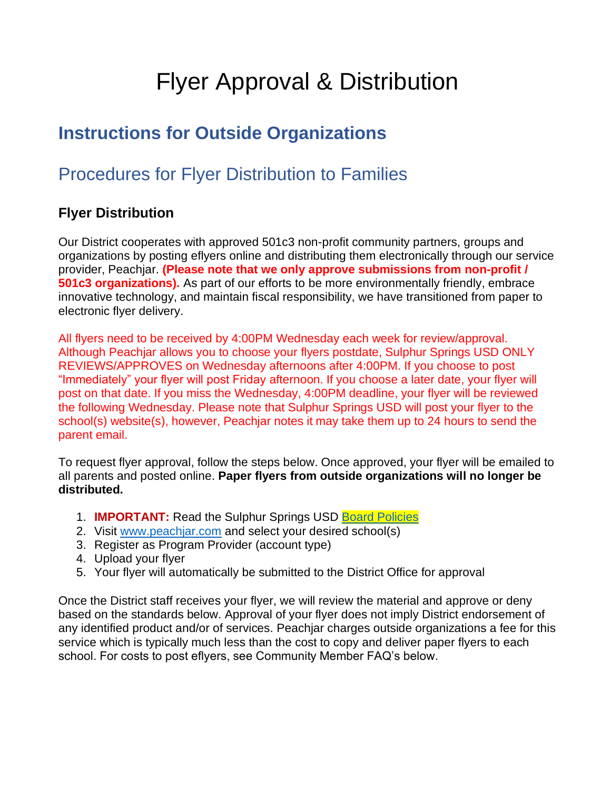# Flyer Approval & Distribution

## **Instructions for Outside Organizations**

### Procedures for Flyer Distribution to Families

#### **Flyer Distribution**

Our District cooperates with approved 501c3 non-profit community partners, groups and organizations by posting eflyers online and distributing them electronically through our service provider, Peachjar. **(Please note that we only approve submissions from non-profit / 501c3 organizations).** As part of our efforts to be more environmentally friendly, embrace innovative technology, and maintain fiscal responsibility, we have transitioned from paper to electronic flyer delivery.

All flyers need to be received by 4:00PM Wednesday each week for review/approval. Although Peachjar allows you to choose your flyers postdate, Sulphur Springs USD ONLY REVIEWS/APPROVES on Wednesday afternoons after 4:00PM. If you choose to post "Immediately" your flyer will post Friday afternoon. If you choose a later date, your flyer will post on that date. If you miss the Wednesday, 4:00PM deadline, your flyer will be reviewed the following Wednesday. Please note that Sulphur Springs USD will post your flyer to the school(s) website(s), however, Peachjar notes it may take them up to 24 hours to send the parent email.

To request flyer approval, follow the steps below. Once approved, your flyer will be emailed to all parents and posted online. **Paper flyers from outside organizations will no longer be distributed.** 

- 1. **IMPORTANT:** Read the Sulphur Springs USD [Board Policies](https://www.sssd.k12.ca.us/cms/lib/CA02205826/Centricity/domain/8/peachjar/BP1325_1.pdf)
- 2. Visit [www.peachjar.com](http://www.peachjar.com/) and select your desired school(s)
- 3. Register as Program Provider (account type)
- 4. Upload your flyer
- 5. Your flyer will automatically be submitted to the District Office for approval

Once the District staff receives your flyer, we will review the material and approve or deny based on the standards below. Approval of your flyer does not imply District endorsement of any identified product and/or of services. Peachjar charges outside organizations a fee for this service which is typically much less than the cost to copy and deliver paper flyers to each school. For costs to post eflyers, see Community Member FAQ's below.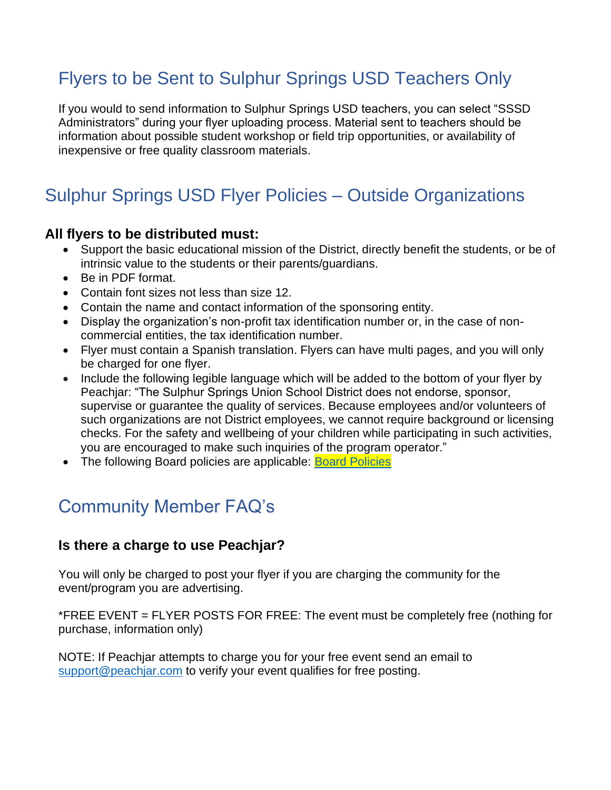## Flyers to be Sent to Sulphur Springs USD Teachers Only

If you would to send information to Sulphur Springs USD teachers, you can select "SSSD Administrators" during your flyer uploading process. Material sent to teachers should be information about possible student workshop or field trip opportunities, or availability of inexpensive or free quality classroom materials.

## Sulphur Springs USD Flyer Policies – Outside Organizations

#### **All flyers to be distributed must:**

- Support the basic educational mission of the District, directly benefit the students, or be of intrinsic value to the students or their parents/guardians.
- Be in PDF format.
- Contain font sizes not less than size 12.
- Contain the name and contact information of the sponsoring entity.
- Display the organization's non-profit tax identification number or, in the case of noncommercial entities, the tax identification number.
- Flyer must contain a Spanish translation. Flyers can have multi pages, and you will only be charged for one flyer.
- Include the following legible language which will be added to the bottom of your flyer by Peachiar: "The Sulphur Springs Union School District does not endorse, sponsor, supervise or guarantee the quality of services. Because employees and/or volunteers of such organizations are not District employees, we cannot require background or licensing checks. For the safety and wellbeing of your children while participating in such activities, you are encouraged to make such inquiries of the program operator."
- The following Board policies are applicable: [Board Policies](https://www.sssd.k12.ca.us/cms/lib/CA02205826/Centricity/domain/8/peachjar/BP1325_1.pdf)

### Community Member FAQ's

#### **Is there a charge to use Peachjar?**

You will only be charged to post your flyer if you are charging the community for the event/program you are advertising.

\*FREE EVENT = FLYER POSTS FOR FREE: The event must be completely free (nothing for purchase, information only)

NOTE: If Peachjar attempts to charge you for your free event send an email to [support@peachjar.com](mailto:support@peachjar.com) to verify your event qualifies for free posting.